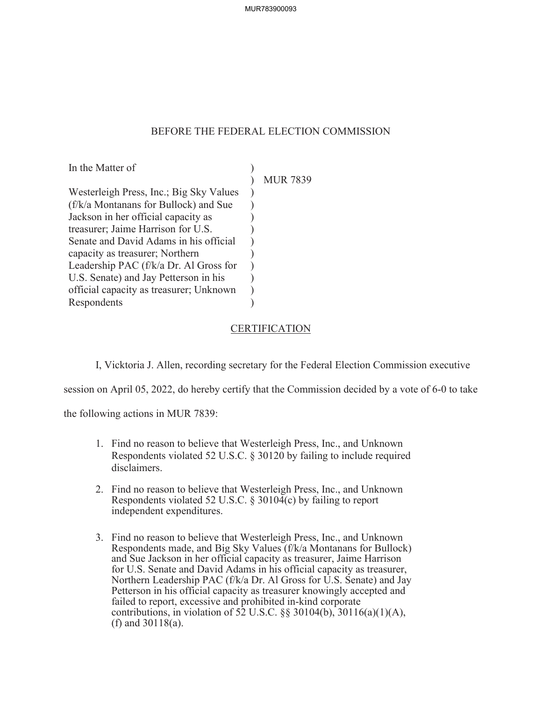## BEFORE THE FEDERAL ELECTION COMMISSION

In the Matter of Westerleigh Press, Inc.; Big Sky Values (f/k/a Montanans for Bullock) and Sue Jackson in her official capacity as treasurer; Jaime Harrison for U.S. Senate and David Adams in his official capacity as treasurer; Northern Leadership PAC (f/k/a Dr. Al Gross for U.S. Senate) and Jay Petterson in his official capacity as treasurer; Unknown Respondents  $\mathcal{L}$  $\lambda$ )  $\mathcal{L}$  $\mathcal{L}$ ) ) ) ) )  $\lambda$ 

MUR 7839

## **CERTIFICATION**

I, Vicktoria J. Allen, recording secretary for the Federal Election Commission executive

session on April 05, 2022, do hereby certify that the Commission decided by a vote of 6-0 to take

the following actions in MUR 7839:

- 1. Find no reason to believe that Westerleigh Press, Inc., and Unknown Respondents violated 52 U.S.C. § 30120 by failing to include required disclaimers.
- 2. Find no reason to believe that Westerleigh Press, Inc., and Unknown Respondents violated 52 U.S.C. § 30104(c) by failing to report independent expenditures.
- 3. Find no reason to believe that Westerleigh Press, Inc., and Unknown Respondents made, and Big Sky Values (f/k/a Montanans for Bullock) and Sue Jackson in her official capacity as treasurer, Jaime Harrison for U.S. Senate and David Adams in his official capacity as treasurer, Northern Leadership PAC (f/k/a Dr. Al Gross for U.S. Senate) and Jay Petterson in his official capacity as treasurer knowingly accepted and failed to report, excessive and prohibited in-kind corporate contributions, in violation of 52 U.S.C.  $\S$ § 30104(b), 30116(a)(1)(A), (f) and 30118(a).